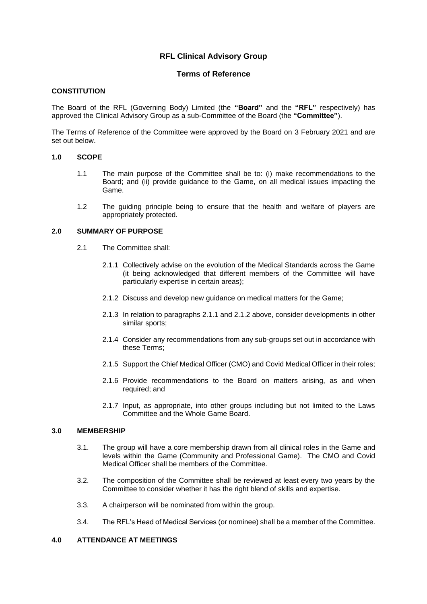# **RFL Clinical Advisory Group**

# **Terms of Reference**

## **CONSTITUTION**

The Board of the RFL (Governing Body) Limited (the **"Board"** and the **"RFL"** respectively) has approved the Clinical Advisory Group as a sub-Committee of the Board (the **"Committee"**).

The Terms of Reference of the Committee were approved by the Board on 3 February 2021 and are set out below.

### **1.0 SCOPE**

- 1.1 The main purpose of the Committee shall be to: (i) make recommendations to the Board; and (ii) provide guidance to the Game, on all medical issues impacting the Game.
- 1.2 The guiding principle being to ensure that the health and welfare of players are appropriately protected.

### **2.0 SUMMARY OF PURPOSE**

- 2.1 The Committee shall:
	- 2.1.1 Collectively advise on the evolution of the Medical Standards across the Game (it being acknowledged that different members of the Committee will have particularly expertise in certain areas);
	- 2.1.2 Discuss and develop new guidance on medical matters for the Game;
	- 2.1.3 In relation to paragraphs 2.1.1 and 2.1.2 above, consider developments in other similar sports;
	- 2.1.4 Consider any recommendations from any sub-groups set out in accordance with these Terms;
	- 2.1.5 Support the Chief Medical Officer (CMO) and Covid Medical Officer in their roles;
	- 2.1.6 Provide recommendations to the Board on matters arising, as and when required; and
	- 2.1.7 Input, as appropriate, into other groups including but not limited to the Laws Committee and the Whole Game Board.

## **3.0 MEMBERSHIP**

- 3.1. The group will have a core membership drawn from all clinical roles in the Game and levels within the Game (Community and Professional Game). The CMO and Covid Medical Officer shall be members of the Committee.
- 3.2. The composition of the Committee shall be reviewed at least every two years by the Committee to consider whether it has the right blend of skills and expertise.
- 3.3. A chairperson will be nominated from within the group.
- 3.4. The RFL's Head of Medical Services (or nominee) shall be a member of the Committee.

## **4.0 ATTENDANCE AT MEETINGS**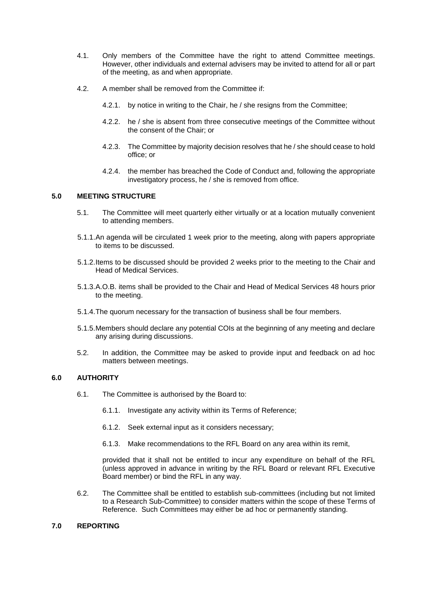- 4.1. Only members of the Committee have the right to attend Committee meetings. However, other individuals and external advisers may be invited to attend for all or part of the meeting, as and when appropriate.
- 4.2. A member shall be removed from the Committee if:
	- 4.2.1. by notice in writing to the Chair, he / she resigns from the Committee;
	- 4.2.2. he / she is absent from three consecutive meetings of the Committee without the consent of the Chair; or
	- 4.2.3. The Committee by majority decision resolves that he / she should cease to hold office; or
	- 4.2.4. the member has breached the Code of Conduct and, following the appropriate investigatory process, he / she is removed from office.

## **5.0 MEETING STRUCTURE**

- 5.1. The Committee will meet quarterly either virtually or at a location mutually convenient to attending members.
- 5.1.1.An agenda will be circulated 1 week prior to the meeting, along with papers appropriate to items to be discussed.
- 5.1.2.Items to be discussed should be provided 2 weeks prior to the meeting to the Chair and Head of Medical Services.
- 5.1.3.A.O.B. items shall be provided to the Chair and Head of Medical Services 48 hours prior to the meeting.
- 5.1.4.The quorum necessary for the transaction of business shall be four members.
- 5.1.5.Members should declare any potential COIs at the beginning of any meeting and declare any arising during discussions.
- 5.2. In addition, the Committee may be asked to provide input and feedback on ad hoc matters between meetings.

## **6.0 AUTHORITY**

- 6.1. The Committee is authorised by the Board to:
	- 6.1.1. Investigate any activity within its Terms of Reference;
	- 6.1.2. Seek external input as it considers necessary;
	- 6.1.3. Make recommendations to the RFL Board on any area within its remit,

provided that it shall not be entitled to incur any expenditure on behalf of the RFL (unless approved in advance in writing by the RFL Board or relevant RFL Executive Board member) or bind the RFL in any way.

6.2. The Committee shall be entitled to establish sub-committees (including but not limited to a Research Sub-Committee) to consider matters within the scope of these Terms of Reference. Such Committees may either be ad hoc or permanently standing.

### **7.0 REPORTING**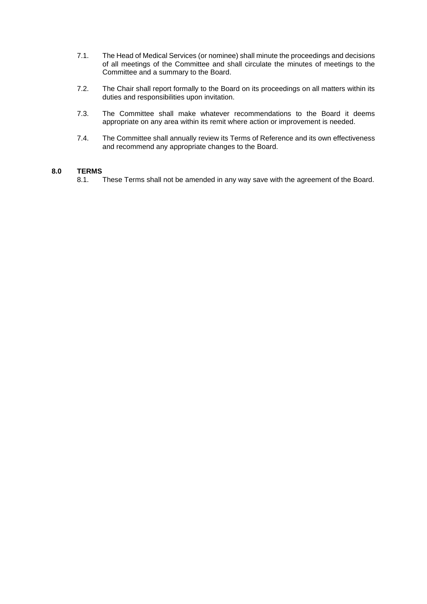- 7.1. The Head of Medical Services (or nominee) shall minute the proceedings and decisions of all meetings of the Committee and shall circulate the minutes of meetings to the Committee and a summary to the Board.
- 7.2. The Chair shall report formally to the Board on its proceedings on all matters within its duties and responsibilities upon invitation.
- 7.3. The Committee shall make whatever recommendations to the Board it deems appropriate on any area within its remit where action or improvement is needed.
- 7.4. The Committee shall annually review its Terms of Reference and its own effectiveness and recommend any appropriate changes to the Board.

## **8.0 TERMS**

8.1. These Terms shall not be amended in any way save with the agreement of the Board.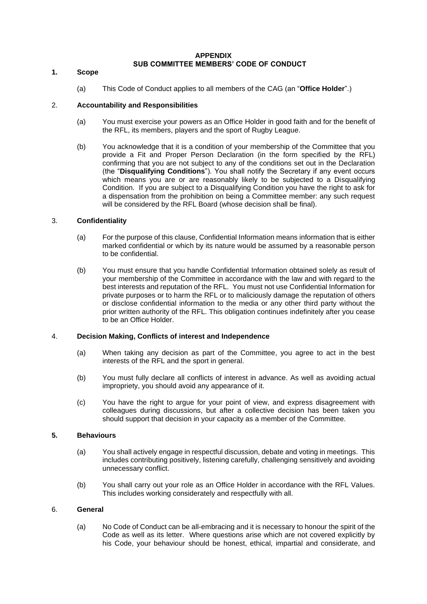### **APPENDIX SUB COMMITTEE MEMBERS' CODE OF CONDUCT**

#### **1. Scope**

(a) This Code of Conduct applies to all members of the CAG (an "**Office Holder**".)

### 2. **Accountability and Responsibilities**

- (a) You must exercise your powers as an Office Holder in good faith and for the benefit of the RFL, its members, players and the sport of Rugby League.
- (b) You acknowledge that it is a condition of your membership of the Committee that you provide a Fit and Proper Person Declaration (in the form specified by the RFL) confirming that you are not subject to any of the conditions set out in the Declaration (the "**Disqualifying Conditions**"). You shall notify the Secretary if any event occurs which means you are or are reasonably likely to be subjected to a Disqualifying Condition. If you are subject to a Disqualifying Condition you have the right to ask for a dispensation from the prohibition on being a Committee member: any such request will be considered by the RFL Board (whose decision shall be final).

## 3. **Confidentiality**

- (a) For the purpose of this clause, Confidential Information means information that is either marked confidential or which by its nature would be assumed by a reasonable person to be confidential.
- (b) You must ensure that you handle Confidential Information obtained solely as result of your membership of the Committee in accordance with the law and with regard to the best interests and reputation of the RFL. You must not use Confidential Information for private purposes or to harm the RFL or to maliciously damage the reputation of others or disclose confidential information to the media or any other third party without the prior written authority of the RFL. This obligation continues indefinitely after you cease to be an Office Holder.

### 4. **Decision Making, Conflicts of interest and Independence**

- (a) When taking any decision as part of the Committee, you agree to act in the best interests of the RFL and the sport in general.
- (b) You must fully declare all conflicts of interest in advance. As well as avoiding actual impropriety, you should avoid any appearance of it.
- (c) You have the right to argue for your point of view, and express disagreement with colleagues during discussions, but after a collective decision has been taken you should support that decision in your capacity as a member of the Committee.

## **5. Behaviours**

- (a) You shall actively engage in respectful discussion, debate and voting in meetings. This includes contributing positively, listening carefully, challenging sensitively and avoiding unnecessary conflict.
- (b) You shall carry out your role as an Office Holder in accordance with the RFL Values. This includes working considerately and respectfully with all.

### 6. **General**

(a) No Code of Conduct can be all-embracing and it is necessary to honour the spirit of the Code as well as its letter. Where questions arise which are not covered explicitly by his Code, your behaviour should be honest, ethical, impartial and considerate, and